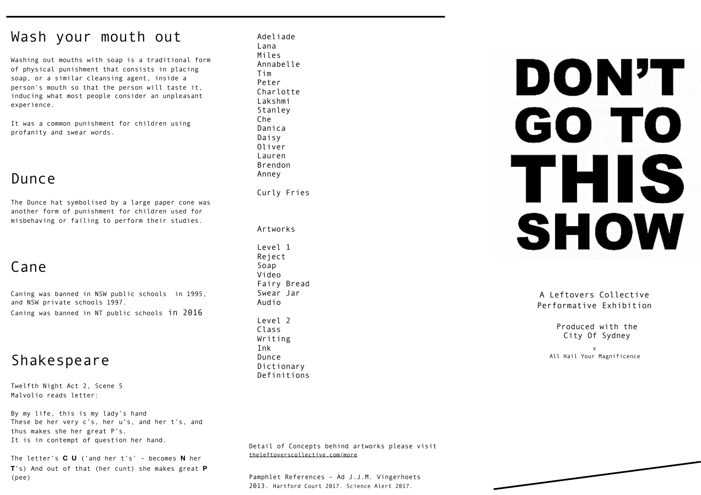# Wash your mouth out

Washing out mouths with soap is a traditional form of [physical punishment](https://en.wikipedia.org/wiki/Physical_punishment) that consists in placing [soap](https://en.wikipedia.org/wiki/Soap), or a similar cleansing agent, inside a person's mouth so that the person will taste it, inducing what most people consider an unpleasant experience.

It was a common punishment for children using profanity and swear words.

# Dunce

The Dunce hat symbolised by a large paper cone was another form of punishment for children used for misbehaving or failing to perform their studies.

# Cane

Caning was banned in NSW public schools in 1995, and NSW private schools 1997.

Caning was banned in NT public schools in 2016

# Shakespeare

Twelfth Night Act 2, Scene 5 Malvolio reads letter:

By my life, this is my lady's hand These be her very c's, her u's, and her t's, and thus makes she her great P's. It is in contempt of question her hand.

The letter's **C U** ('and her t's' - becomes **N** her **T**'s) And out of that (her cunt) she makes great **P** (pee)

Peter Defreytas Adeliade<br>. Lana<br>...  $m \leqslant$ Annabelle rim<br>Peter re Lei Charlotte Lakshmi Stanley Che Danica Daisy Oliver Lauren Brendon Anney Miles Tim

Curly Fries

Artworks Level 1 Soap Video Swear Jar . Audio Level 2 Class Writing Dunce Dictionary Artworks Reject Fairy Bread Class Ink Class Produced with the Class Produced with the City Of Sydney<br>Writing City Of Sydney<br>Ink x<br>Dunce All Hail Your Magnificence<br>Dictionary Refinitions

Detail of Concepts behind artworks please visit [theleftoverscollective.com/more](http://theleftoverscollective.com/more)

Pamphlet References - Ad J.J.M. Vingerhoets 2013. Hartford Court 2017. Science Alert 2017.

# DON'T GO TO THIS **SHOW**

A Leftovers Collective Performative Exhibition

City Of Sydney

x All Hail Your Magnificence